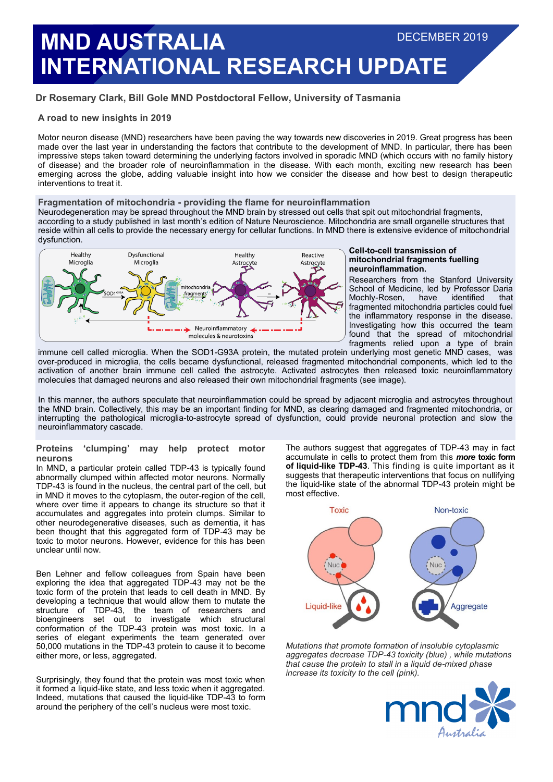# **MND AUSTRALIA INTERNATIONAL RESEARCH UPDATE** DECEMBER 2019

# **Dr Rosemary Clark, Bill Gole MND Postdoctoral Fellow, University of Tasmania**

# **A road to new insights in 2019**

Motor neuron disease (MND) researchers have been paving the way towards new discoveries in 2019. Great progress has been made over the last year in understanding the factors that contribute to the development of MND. In particular, there has been impressive steps taken toward determining the underlying factors involved in sporadic MND (which occurs with no family history of disease) and the broader role of neuroinflammation in the disease. With each month, exciting new research has been emerging across the globe, adding valuable insight into how we consider the disease and how best to design therapeutic interventions to treat it.

# **Fragmentation of mitochondria - providing the flame for neuroinflammation**

Neurodegeneration may be spread throughout the MND brain by stressed out cells that spit out mitochondrial fragments, according to a study published in last month's edition of Nature Neuroscience. Mitochondria are small organelle structures that reside within all cells to provide the necessary energy for cellular functions. In MND there is extensive evidence of mitochondrial dysfunction.



#### **Cell-to-cell transmission of mitochondrial fragments fuelling neuroinflammation.**

Researchers from the Stanford University School of Medicine, led by Professor Daria<br>Mochly-Rosen, have identified that Mochly-Rosen, fragmented mitochondria particles could fuel the inflammatory response in the disease. Investigating how this occurred the team found that the spread of mitochondrial fragments relied upon a type of brain

immune cell called microglia. When the SOD1-G93A protein, the mutated protein underlying most genetic MND cases, was over-produced in microglia, the cells became dysfunctional, released fragmented mitochondrial components, which led to the activation of another brain immune cell called the astrocyte. Activated astrocytes then released toxic neuroinflammatory molecules that damaged neurons and also released their own mitochondrial fragments (see image).

In this manner, the authors speculate that neuroinflammation could be spread by adjacent microglia and astrocytes throughout the MND brain. Collectively, this may be an important finding for MND, as clearing damaged and fragmented mitochondria, or interrupting the pathological microglia-to-astrocyte spread of dysfunction, could provide neuronal protection and slow the neuroinflammatory cascade.

# **Proteins 'clumping' may help protect motor neurons**

In MND, a particular protein called TDP-43 is typically found abnormally clumped within affected motor neurons. Normally TDP-43 is found in the nucleus, the central part of the cell, but in MND it moves to the cytoplasm, the outer-region of the cell, where over time it appears to change its structure so that it accumulates and aggregates into protein clumps. Similar to other neurodegenerative diseases, such as dementia, it has been thought that this aggregated form of TDP-43 may be toxic to motor neurons. However, evidence for this has been unclear until now.

Ben Lehner and fellow colleagues from Spain have been exploring the idea that aggregated TDP-43 may not be the toxic form of the protein that leads to cell death in MND. By developing a technique that would allow them to mutate the structure of TDP-43, the team of researchers and bioengineers set out to investigate which structural conformation of the TDP-43 protein was most toxic. In a series of elegant experiments the team generated over 50,000 mutations in the TDP-43 protein to cause it to become either more, or less, aggregated.

Surprisingly, they found that the protein was most toxic when it formed a liquid-like state, and less toxic when it aggregated. Indeed, mutations that caused the liquid-like TDP-43 to form around the periphery of the cell's nucleus were most toxic.

The authors suggest that aggregates of TDP-43 may in fact accumulate in cells to protect them from this *more* **toxic form of liquid-like TDP-43**. This finding is quite important as it suggests that therapeutic interventions that focus on nullifying the liquid-like state of the abnormal TDP-43 protein might be most effective.



*Mutations that promote formation of insoluble cytoplasmic aggregates decrease TDP-43 toxicity (blue) , while mutations that cause the protein to stall in a liquid de-mixed phase increase its toxicity to the cell (pink).*